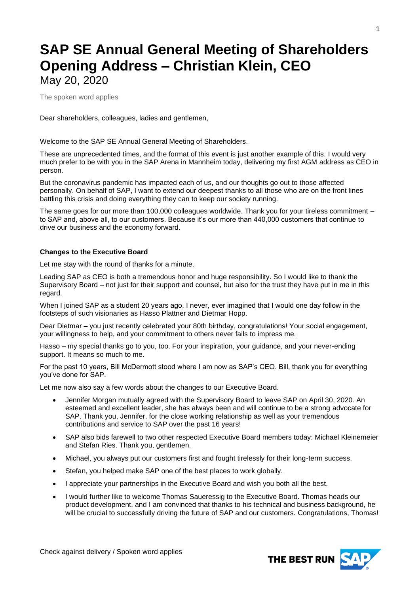# **SAP SE Annual General Meeting of Shareholders Opening Address – Christian Klein, CEO** May 20, 2020

The spoken word applies

Dear shareholders, colleagues, ladies and gentlemen,

Welcome to the SAP SE Annual General Meeting of Shareholders.

These are unprecedented times, and the format of this event is just another example of this. I would very much prefer to be with you in the SAP Arena in Mannheim today, delivering my first AGM address as CEO in person.

But the coronavirus pandemic has impacted each of us, and our thoughts go out to those affected personally. On behalf of SAP, I want to extend our deepest thanks to all those who are on the front lines battling this crisis and doing everything they can to keep our society running.

The same goes for our more than 100,000 colleagues worldwide. Thank you for your tireless commitment – to SAP and, above all, to our customers. Because it's our more than 440,000 customers that continue to drive our business and the economy forward.

# **Changes to the Executive Board**

Let me stay with the round of thanks for a minute.

Leading SAP as CEO is both a tremendous honor and huge responsibility. So I would like to thank the Supervisory Board – not just for their support and counsel, but also for the trust they have put in me in this regard.

When I joined SAP as a student 20 years ago, I never, ever imagined that I would one day follow in the footsteps of such visionaries as Hasso Plattner and Dietmar Hopp.

Dear Dietmar – you just recently celebrated your 80th birthday, congratulations! Your social engagement, your willingness to help, and your commitment to others never fails to impress me.

Hasso – my special thanks go to you, too. For your inspiration, your guidance, and your never-ending support. It means so much to me.

For the past 10 years, Bill McDermott stood where I am now as SAP's CEO. Bill, thank you for everything you've done for SAP.

Let me now also say a few words about the changes to our Executive Board.

- Jennifer Morgan mutually agreed with the Supervisory Board to leave SAP on April 30, 2020. An esteemed and excellent leader, she has always been and will continue to be a strong advocate for SAP. Thank you, Jennifer, for the close working relationship as well as your tremendous contributions and service to SAP over the past 16 years!
- SAP also bids farewell to two other respected Executive Board members today: Michael Kleinemeier and Stefan Ries. Thank you, gentlemen.
- Michael, you always put our customers first and fought tirelessly for their long-term success.
- Stefan, you helped make SAP one of the best places to work globally.
- I appreciate your partnerships in the Executive Board and wish you both all the best.
- I would further like to welcome Thomas Saueressig to the Executive Board. Thomas heads our product development, and I am convinced that thanks to his technical and business background, he will be crucial to successfully driving the future of SAP and our customers. Congratulations, Thomas!

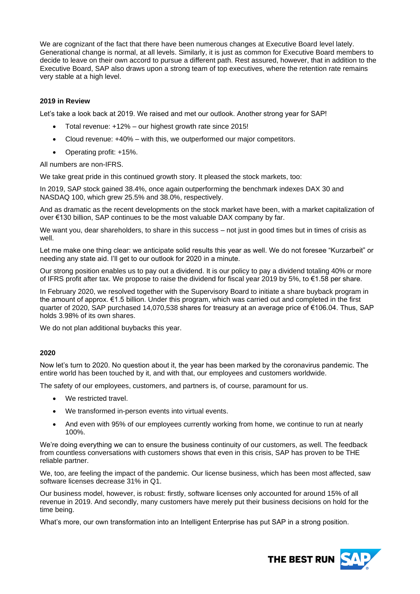We are cognizant of the fact that there have been numerous changes at Executive Board level lately. Generational change is normal, at all levels. Similarly, it is just as common for Executive Board members to decide to leave on their own accord to pursue a different path. Rest assured, however, that in addition to the Executive Board, SAP also draws upon a strong team of top executives, where the retention rate remains very stable at a high level.

# **2019 in Review**

Let's take a look back at 2019. We raised and met our outlook. Another strong year for SAP!

- Total revenue: +12% our highest growth rate since 2015!
- Cloud revenue: +40% with this, we outperformed our major competitors.
- Operating profit: +15%.

All numbers are non-IFRS.

We take great pride in this continued growth story. It pleased the stock markets, too:

In 2019, SAP stock gained 38.4%, once again outperforming the benchmark indexes DAX 30 and NASDAQ 100, which grew 25.5% and 38.0%, respectively.

And as dramatic as the recent developments on the stock market have been, with a market capitalization of over €130 billion, SAP continues to be the most valuable DAX company by far.

We want you, dear shareholders, to share in this success – not just in good times but in times of crisis as well.

Let me make one thing clear: we anticipate solid results this year as well. We do not foresee "Kurzarbeit" or needing any state aid. I'll get to our outlook for 2020 in a minute.

Our strong position enables us to pay out a dividend. It is our policy to pay a dividend totaling 40% or more of IFRS profit after tax. We propose to raise the dividend for fiscal year 2019 by 5%, to €1.58 per share.

In February 2020, we resolved together with the Supervisory Board to initiate a share buyback program in the amount of approx. €1.5 billion. Under this program, which was carried out and completed in the first quarter of 2020, SAP purchased 14,070,538 shares for treasury at an average price of €106,04. Thus, SAP holds 3.98% of its own shares.

We do not plan additional buybacks this year.

#### **2020**

Now let's turn to 2020. No question about it, the year has been marked by the coronavirus pandemic. The entire world has been touched by it, and with that, our employees and customers worldwide.

The safety of our employees, customers, and partners is, of course, paramount for us.

- We restricted travel.
- We transformed in-person events into virtual events.
- And even with 95% of our employees currently working from home, we continue to run at nearly 100%.

We're doing everything we can to ensure the business continuity of our customers, as well. The feedback from countless conversations with customers shows that even in this crisis, SAP has proven to be THE reliable partner.

We, too, are feeling the impact of the pandemic. Our license business, which has been most affected, saw software licenses decrease 31% in Q1.

Our business model, however, is robust: firstly, software licenses only accounted for around 15% of all revenue in 2019. And secondly, many customers have merely put their business decisions on hold for the time being.

What's more, our own transformation into an Intelligent Enterprise has put SAP in a strong position.

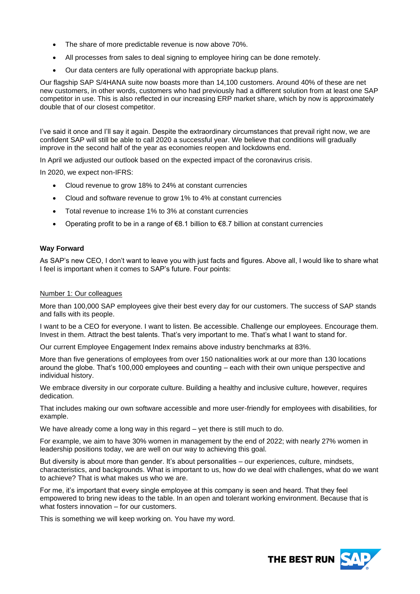- The share of more predictable revenue is now above 70%.
- All processes from sales to deal signing to employee hiring can be done remotely.
- Our data centers are fully operational with appropriate backup plans.

Our flagship SAP S/4HANA suite now boasts more than 14,100 customers. Around 40% of these are net new customers, in other words, customers who had previously had a different solution from at least one SAP competitor in use. This is also reflected in our increasing ERP market share, which by now is approximately double that of our closest competitor.

I've said it once and I'll say it again. Despite the extraordinary circumstances that prevail right now, we are confident SAP will still be able to call 2020 a successful year. We believe that conditions will gradually improve in the second half of the year as economies reopen and lockdowns end.

In April we adjusted our outlook based on the expected impact of the coronavirus crisis.

In 2020, we expect non-IFRS:

- Cloud revenue to grow 18% to 24% at constant currencies
- Cloud and software revenue to grow 1% to 4% at constant currencies
- Total revenue to increase 1% to 3% at constant currencies
- Operating profit to be in a range of  $€8.1$  billion to  $€8.7$  billion at constant currencies

#### **Way Forward**

As SAP's new CEO, I don't want to leave you with just facts and figures. Above all, I would like to share what I feel is important when it comes to SAP's future. Four points:

### Number 1: Our colleagues

More than 100,000 SAP employees give their best every day for our customers. The success of SAP stands and falls with its people.

I want to be a CEO for everyone. I want to listen. Be accessible. Challenge our employees. Encourage them. Invest in them. Attract the best talents. That's very important to me. That's what I want to stand for.

Our current Employee Engagement Index remains above industry benchmarks at 83%.

More than five generations of employees from over 150 nationalities work at our more than 130 locations around the globe. That's 100,000 employees and counting – each with their own unique perspective and individual history.

We embrace diversity in our corporate culture. Building a healthy and inclusive culture, however, requires dedication.

That includes making our own software accessible and more user-friendly for employees with disabilities, for example.

We have already come a long way in this regard – yet there is still much to do.

For example, we aim to have 30% women in management by the end of 2022; with nearly 27% women in leadership positions today, we are well on our way to achieving this goal.

But diversity is about more than gender. It's about personalities – our experiences, culture, mindsets, characteristics, and backgrounds. What is important to us, how do we deal with challenges, what do we want to achieve? That is what makes us who we are.

For me, it's important that every single employee at this company is seen and heard. That they feel empowered to bring new ideas to the table. In an open and tolerant working environment. Because that is what fosters innovation – for our customers.

This is something we will keep working on. You have my word.

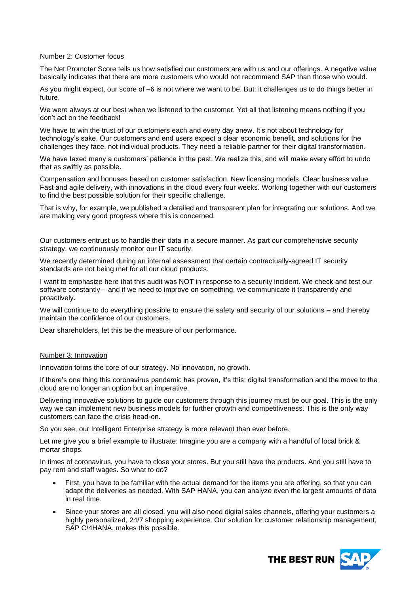#### Number 2: Customer focus

The Net Promoter Score tells us how satisfied our customers are with us and our offerings. A negative value basically indicates that there are more customers who would not recommend SAP than those who would.

As you might expect, our score of –6 is not where we want to be. But: it challenges us to do things better in future.

We were always at our best when we listened to the customer. Yet all that listening means nothing if you don't act on the feedback!

We have to win the trust of our customers each and every day anew. It's not about technology for technology's sake. Our customers and end users expect a clear economic benefit, and solutions for the challenges they face, not individual products. They need a reliable partner for their digital transformation.

We have taxed many a customers' patience in the past. We realize this, and will make every effort to undo that as swiftly as possible.

Compensation and bonuses based on customer satisfaction. New licensing models. Clear business value. Fast and agile delivery, with innovations in the cloud every four weeks. Working together with our customers to find the best possible solution for their specific challenge.

That is why, for example, we published a detailed and transparent plan for integrating our solutions. And we are making very good progress where this is concerned.

Our customers entrust us to handle their data in a secure manner. As part our comprehensive security strategy, we continuously monitor our IT security.

We recently determined during an internal assessment that certain contractually-agreed IT security standards are not being met for all our cloud products.

I want to emphasize here that this audit was NOT in response to a security incident. We check and test our software constantly – and if we need to improve on something, we communicate it transparently and proactively.

We will continue to do everything possible to ensure the safety and security of our solutions – and thereby maintain the confidence of our customers.

Dear shareholders, let this be the measure of our performance.

#### Number 3: Innovation

Innovation forms the core of our strategy. No innovation, no growth.

If there's one thing this coronavirus pandemic has proven, it's this: digital transformation and the move to the cloud are no longer an option but an imperative.

Delivering innovative solutions to guide our customers through this journey must be our goal. This is the only way we can implement new business models for further growth and competitiveness. This is the only way customers can face the crisis head-on.

So you see, our Intelligent Enterprise strategy is more relevant than ever before.

Let me give you a brief example to illustrate: Imagine you are a company with a handful of local brick & mortar shops.

In times of coronavirus, you have to close your stores. But you still have the products. And you still have to pay rent and staff wages. So what to do?

- First, you have to be familiar with the actual demand for the items you are offering, so that you can adapt the deliveries as needed. With SAP HANA, you can analyze even the largest amounts of data in real time.
- Since your stores are all closed, you will also need digital sales channels, offering your customers a highly personalized, 24/7 shopping experience. Our solution for customer relationship management, SAP C/4HANA, makes this possible.

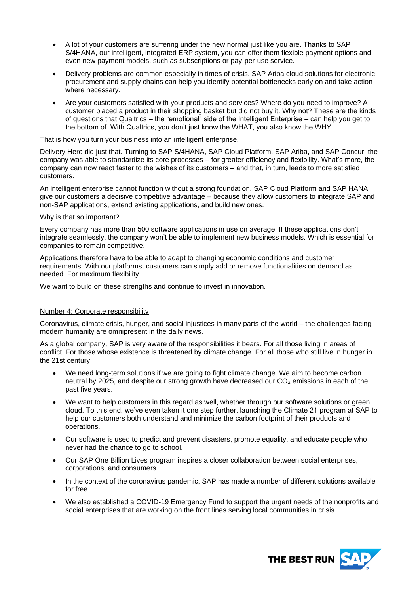- A lot of your customers are suffering under the new normal just like you are. Thanks to SAP S/4HANA, our intelligent, integrated ERP system, you can offer them flexible payment options and even new payment models, such as subscriptions or pay-per-use service.
- Delivery problems are common especially in times of crisis. SAP Ariba cloud solutions for electronic procurement and supply chains can help you identify potential bottlenecks early on and take action where necessary.
- Are your customers satisfied with your products and services? Where do you need to improve? A customer placed a product in their shopping basket but did not buy it. Why not? These are the kinds of questions that Qualtrics – the "emotional" side of the Intelligent Enterprise – can help you get to the bottom of. With Qualtrics, you don't just know the WHAT, you also know the WHY.

That is how you turn your business into an intelligent enterprise.

Delivery Hero did just that. Turning to SAP S/4HANA, SAP Cloud Platform, SAP Ariba, and SAP Concur, the company was able to standardize its core processes – for greater efficiency and flexibility. What's more, the company can now react faster to the wishes of its customers – and that, in turn, leads to more satisfied customers.

An intelligent enterprise cannot function without a strong foundation. SAP Cloud Platform and SAP HANA give our customers a decisive competitive advantage – because they allow customers to integrate SAP and non-SAP applications, extend existing applications, and build new ones.

## Why is that so important?

Every company has more than 500 software applications in use on average. If these applications don't integrate seamlessly, the company won't be able to implement new business models. Which is essential for companies to remain competitive.

Applications therefore have to be able to adapt to changing economic conditions and customer requirements. With our platforms, customers can simply add or remove functionalities on demand as needed. For maximum flexibility.

We want to build on these strengths and continue to invest in innovation.

# Number 4: Corporate responsibility

Coronavirus, climate crisis, hunger, and social injustices in many parts of the world – the challenges facing modern humanity are omnipresent in the daily news.

As a global company, SAP is very aware of the responsibilities it bears. For all those living in areas of conflict. For those whose existence is threatened by climate change. For all those who still live in hunger in the 21st century.

- We need long-term solutions if we are going to fight climate change. We aim to become carbon neutral by 2025, and despite our strong growth have decreased our CO<sub>2</sub> emissions in each of the past five years.
- We want to help customers in this regard as well, whether through our software solutions or green cloud. To this end, we've even taken it one step further, launching the Climate 21 program at SAP to help our customers both understand and minimize the carbon footprint of their products and operations.
- Our software is used to predict and prevent disasters, promote equality, and educate people who never had the chance to go to school.
- Our SAP One Billion Lives program inspires a closer collaboration between social enterprises, corporations, and consumers.
- In the context of the coronavirus pandemic, SAP has made a number of different solutions available for free.
- We also established a COVID-19 Emergency Fund to support the urgent needs of the nonprofits and social enterprises that are working on the front lines serving local communities in crisis. .